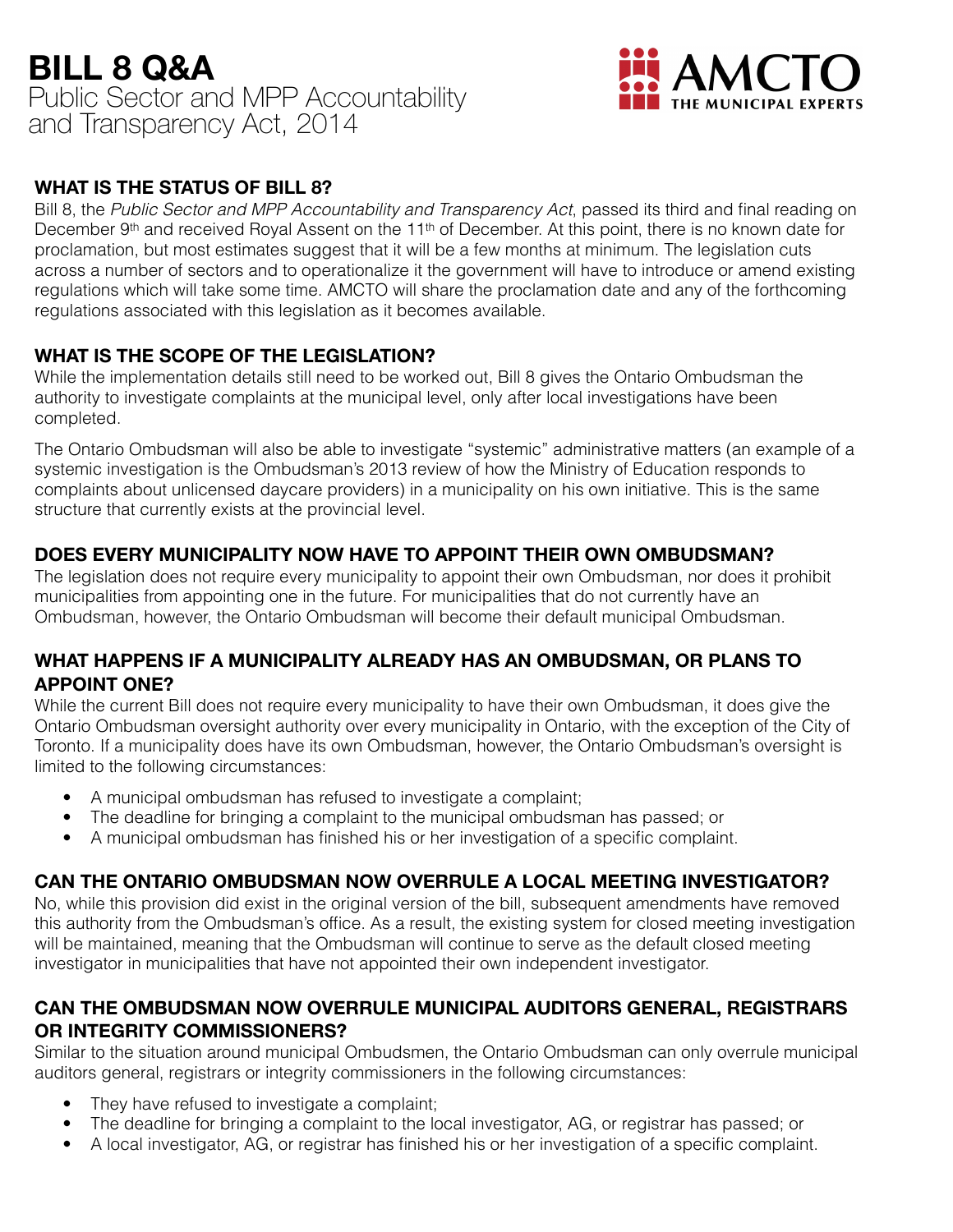# **BILL 8 Q&A**  Public Sector and MPP Accountability and Transparency Act, 2014



#### **WHAT IS THE STATUS OF BILL 8?**

Bill 8, the *Public Sector and MPP Accountability and Transparency Act*, passed its third and final reading on December 9<sup>th</sup> and received Royal Assent on the 11<sup>th</sup> of December. At this point, there is no known date for proclamation, but most estimates suggest that it will be a few months at minimum. The legislation cuts across a number of sectors and to operationalize it the government will have to introduce or amend existing regulations which will take some time. AMCTO will share the proclamation date and any of the forthcoming regulations associated with this legislation as it becomes available.

### **WHAT IS THE SCOPE OF THE LEGISLATION?**

While the implementation details still need to be worked out, Bill 8 gives the Ontario Ombudsman the authority to investigate complaints at the municipal level, only after local investigations have been completed.

The Ontario Ombudsman will also be able to investigate "systemic" administrative matters (an example of a systemic investigation is the Ombudsman's 2013 review of how the Ministry of Education responds to complaints about unlicensed daycare providers) in a municipality on his own initiative. This is the same structure that currently exists at the provincial level.

#### **DOES EVERY MUNICIPALITY NOW HAVE TO APPOINT THEIR OWN OMBUDSMAN?**

The legislation does not require every municipality to appoint their own Ombudsman, nor does it prohibit municipalities from appointing one in the future. For municipalities that do not currently have an Ombudsman, however, the Ontario Ombudsman will become their default municipal Ombudsman.

### **WHAT HAPPENS IF A MUNICIPALITY ALREADY HAS AN OMBUDSMAN, OR PLANS TO APPOINT ONE?**

While the current Bill does not require every municipality to have their own Ombudsman, it does give the Ontario Ombudsman oversight authority over every municipality in Ontario, with the exception of the City of Toronto. If a municipality does have its own Ombudsman, however, the Ontario Ombudsman's oversight is limited to the following circumstances:

- A municipal ombudsman has refused to investigate a complaint;
- The deadline for bringing a complaint to the municipal ombudsman has passed; or
- A municipal ombudsman has finished his or her investigation of a specific complaint.

## **CAN THE ONTARIO OMBUDSMAN NOW OVERRULE A LOCAL MEETING INVESTIGATOR?**

No, while this provision did exist in the original version of the bill, subsequent amendments have removed this authority from the Ombudsman's office. As a result, the existing system for closed meeting investigation will be maintained, meaning that the Ombudsman will continue to serve as the default closed meeting investigator in municipalities that have not appointed their own independent investigator.

### **CAN THE OMBUDSMAN NOW OVERRULE MUNICIPAL AUDITORS GENERAL, REGISTRARS OR INTEGRITY COMMISSIONERS?**

Similar to the situation around municipal Ombudsmen, the Ontario Ombudsman can only overrule municipal auditors general, registrars or integrity commissioners in the following circumstances:

- They have refused to investigate a complaint;
- The deadline for bringing a complaint to the local investigator, AG, or registrar has passed; or
- A local investigator, AG, or registrar has finished his or her investigation of a specific complaint.